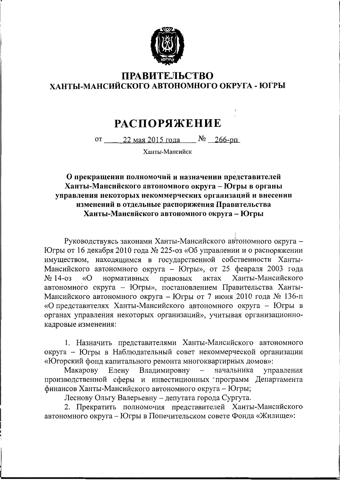

## **ПРАВИТЕЛЬСТВО** ХАНТЫ-МАНСИЙСКОГО АВТОНОМНОГО ОКРУГА - ЮГРЫ

## **РАСПОРЯЖЕНИЕ**

от 22 мая 2015 года  $N_2$  266-рп

Ханты-Мансийск

## О прекращении полномочий и назначении представителей Ханты-Мансийского автономного округа - Югры в органы управления некоторых некоммерческих организаций и внесении изменений в отдельные распоряжения Правительства Ханты-Мансийского автономного округа - Югры

Руководствуясь законами Ханты-Мансийского автономного округа -Югры от 16 декабря 2010 года № 225-оз «Об управлении и о распоряжении имуществом, находящимся в государственной собственности Ханты-Мансийского автономного округа - Югры», от 25 февраля 2003 года «О нормативных правовых актах Ханты-Мансийского  $N_2$  14-03 автономного округа - Югры», постановлением Правительства Ханты-Мансийского автономного округа - Югры от 7 июня 2010 года № 136-п «О представителях Ханты-Мансийского автономного округа - Югры в органах управления некоторых организаций», учитывая организационнокадровые изменения:

1. Назначить представителями Ханты-Мансийского автономного округа - Югры в Наблюдательный совет некоммерческой организации «Югорский фонд капитального ремонта многоквартирных домов»:

Макарову Елену Владимировну начальника  $\,$ управления производственной сферы и инвестиционных программ Департамента финансов Ханты-Мансийского автономного округа - Югры;

Леснову Ольгу Валерьевну - депутата города Сургута.

2. Прекратить полномочия представителей Ханты-Мансийского автономного округа - Югры в Попечительском совете Фонда «Жилище»: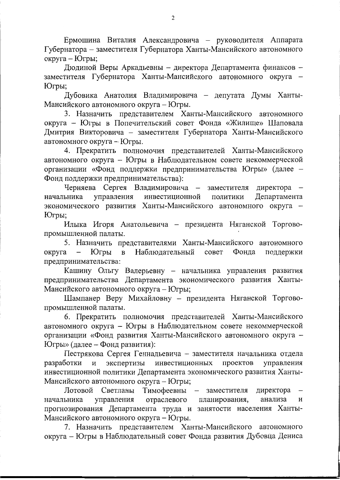Ермошина Виталия Александровича - руководителя Аппарата Губернатора - заместителя Губернатора Ханты-Мансийского автономного округа - Югры;

Дюдиной Веры Аркадьевны - директора Департамента финансов заместителя Губернатора Ханты-Мансийского автономного округа -Югры;

Дубовика Анатолия Владимировича - депутата Думы Ханты-Мансийского автономного округа - Югры.

3. Назначить представителем Ханты-Мансийского автономного округа - Югры в Попечительский совет Фонда «Жилище» Шаповала Дмитрия Викторовича - заместителя Губернатора Ханты-Мансийского автономного округа - Югры.

4. Прекратить полномочия представителей Ханты-Мансийского автономного округа - Югры в Наблюдательном совете некоммерческой организации «Фонд поддержки предпринимательства Югры» (далее -Фонд поддержки предпринимательства):

Черняева Сергея Владимировича - заместителя директора начальника управления инвестиционной политики Департамента экономического развития Ханты-Мансийского автономного округа -Югры;

Илыка Игоря Анатольевича - президента Няганской Торговопромышленной палаты.

5. Назначить представителями Ханты-Мансийского автономного Наблюдательный Фонда округа совет поддержки Югры  $\mathbf{B}$ предпринимательства:

Кашину Ольгу Валерьевну - начальника управления развития предпринимательства Департамента экономического развития Ханты-Мансийского автономного округа - Югры;

Шампанер Веру Михайловну - президента Няганской Торговопромышленной палаты.

6. Прекратить полномочия представителей Ханты-Мансийского автономного округа - Югры в Наблюдательном совете некоммерческой организации «Фонд развития Ханты-Мансийского автономного округа -Югры» (далее - Фонд развития):

Пестрякова Сергея Геннадьевича - заместителя начальника отдела разработки и экспертизы инвестиционных проектов управления инвестиционной политики Департамента экономического развития Ханты-Мансийского автономного округа - Югры;

Лотовой Светланы Тимофеевны - заместителя директора отраслевого планирования, анализа И начальника управления прогнозирования Департамента труда и занятости населения Ханты-Мансийского автономного округа - Югры.

7. Назначить представителем Ханты-Мансийского автономного округа - Югры в Наблюдательный совет Фонда развития Дубовца Дениса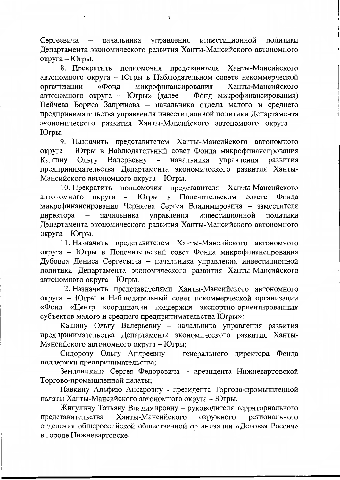управления инвестиционной Сергеевича — начальника политики Департамента экономического развития Ханты-Мансийского автономного округа - Югры.

8. Прекратить полномочия представителя Ханты-Мансийского автономного округа - Югры в Наблюдательном совете некоммерческой Ханты-Мансийского -<br>микрофинансирования организации «Фонд автономного округа - Югры» (далее - Фонд микрофинансирования) Пейчева Бориса Запринова - начальника отдела малого и среднего предпринимательства управления инвестиционной политики Департамента экономического развития Ханты-Мансийского автономного округа -Югры.

9. Назначить представителем Ханты-Мансийского автономного округа - Югры в Наблюдательный совет Фонда микрофинансирования Кашину Ольгу Валерьевну - начальника управления развития предпринимательства Департамента экономического развития Ханты-Мансийского автономного округа - Югры.

10. Прекратить полномочия представителя Ханты-Мансийского автономного округа - Югры в Попечительском совете Фонда микрофинансирования Черняева Сергея Владимировича - заместителя начальника управления инвестиционной директора политики Департамента экономического развития Ханты-Мансийского автономного округа - Югры.

11. Назначить представителем Ханты-Мансийского автономного округа - Югры в Попечительский совет Фонда микрофинансирования Дубовца Дениса Сергеевича - начальника управления инвестиционной политики Департамента экономического развития Ханты-Мансийского автономного округа - Югры.

12. Назначить представителями Ханты-Мансийского автономного округа - Югры в Наблюдательный совет некоммерческой организации «Фонд «Центр координации поддержки экспортно-ориентированных субъектов малого и среднего предпринимательства Югры»:

Кашину Ольгу Валерьевну - начальника управления развития предпринимательства Департамента экономического развития Ханты-Мансийского автономного округа - Югры;

Сидорову Ольгу Андреевну - генерального директора Фонда поддержки предпринимательства;

Земляникина Сергея Федоровича - президента Нижневартовской Торгово-промышленной палаты;

Павкину Альфию Ансаровну - президента Торгово-промышленной палаты Ханты-Мансийского автономного округа - Югры.

Жигулину Татьяну Владимировну - руководителя территориального представительства Ханты-Мансийского окружного регионального отделения общероссийской общественной организации «Деловая Россия» в городе Нижневартовске.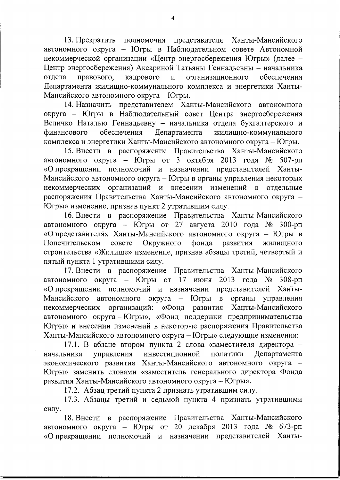13. Прекратить полномочия представителя Ханты-Мансийского автономного округа - Югры в Наблюдательном совете Автономной некоммерческой организации «Центр энергосбережения Югры» (далее -Центр энергосбережения) Аксариной Татьяны Геннадьевны - начальника правового, кадрового отдела  $\overline{M}$ организационного обеспечения Департамента жилищно-коммунального комплекса и энергетики Ханты-Мансийского автономного округа - Югры.

14. Назначить представителем Ханты-Мансийского автономного округа - Югры в Наблюдательный совет Центра энергосбережения Величко Наталью Геннадьевну - начальника отдела бухгалтерского и финансового обеспечения Департамента жилищно-коммунального комплекса и энергетики Ханты-Мансийского автономного округа – Югры.

15. Внести в распоряжение Правительства Ханты-Мансийского автономного округа - Югры от 3 октября 2013 года № 507-рп «О прекращении полномочий и назначении представителей Ханты-Мансийского автономного округа - Югры в органы управления некоторых некоммерческих организаций и внесении изменений в отдельные распоряжения Правительства Ханты-Мансийского автономного округа -Югры» изменение, признав пункт 2 утратившим силу.

16. Внести в распоряжение Правительства Ханты-Мансийского автономного округа - Югры от 27 августа 2010 года № 300-рп «О представителях Ханты-Мансийского автономного округа - Югры в Попечительском совете Окружного развития фонда жилищного строительства «Жилище» изменение, признав абзацы третий, четвертый и пятый пункта 1 утратившими силу.

17. Внести в распоряжение Правительства Ханты-Мансийского автономного округа – Югры от 17 июня 2013 года № 308-рп «О прекращении полномочий и назначении представителей Ханты-Мансийского автономного округа – Югры в органы управления организаций: «Фонд развития Ханты-Мансийского некоммерческих автономного округа-Югры», «Фонд поддержки предпринимательства Югры» и внесении изменений в некоторые распоряжения Правительства Ханты-Мансийского автономного округа - Югры» следующие изменения:

17.1. В абзаце втором пункта 2 слова «заместителя директора управления инвестиционной политики **Лепартамента** начальника экономического развития Ханты-Мансийского автономного округа -Югры» заменить словами «заместитель генерального директора Фонда развития Ханты-Мансийского автономного округа - Югры».

17.2. Абзац третий пункта 2 признать утратившим силу.

17.3. Абзацы третий и седьмой пункта 4 признать утратившими силу.

18. Внести в распоряжение Правительства Ханты-Мансийского автономного округа - Югры от 20 декабря 2013 года № 673-рп «О прекращении полномочий и назначении представителей Ханты-